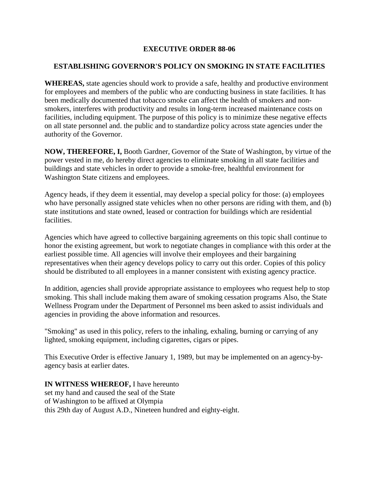## **EXECUTIVE ORDER 88-06**

## **ESTABLISHING GOVERNOR'S POLICY ON SMOKING IN STATE FACILITIES**

**WHEREAS,** state agencies should work to provide a safe, healthy and productive environment for employees and members of the public who are conducting business in state facilities. It has been medically documented that tobacco smoke can affect the health of smokers and nonsmokers, interferes with productivity and results in long-term increased maintenance costs on facilities, including equipment. The purpose of this policy is to minimize these negative effects on all state personnel and. the public and to standardize policy across state agencies under the authority of the Governor.

**NOW, THEREFORE, I,** Booth Gardner, Governor of the State of Washington, by virtue of the power vested in me, do hereby direct agencies to eliminate smoking in all state facilities and buildings and state vehicles in order to provide a smoke-free, healthful environment for Washington State citizens and employees.

Agency heads, if they deem it essential, may develop a special policy for those: (a) employees who have personally assigned state vehicles when no other persons are riding with them, and (b) state institutions and state owned, leased or contraction for buildings which are residential facilities.

Agencies which have agreed to collective bargaining agreements on this topic shall continue to honor the existing agreement, but work to negotiate changes in compliance with this order at the earliest possible time. All agencies will involve their employees and their bargaining representatives when their agency develops policy to carry out this order. Copies of this policy should be distributed to all employees in a manner consistent with existing agency practice.

In addition, agencies shall provide appropriate assistance to employees who request help to stop smoking. This shall include making them aware of smoking cessation programs Also, the State Wellness Program under the Department of Personnel ms been asked to assist individuals and agencies in providing the above information and resources.

"Smoking" as used in this policy, refers to the inhaling, exhaling, burning or carrying of any lighted, smoking equipment, including cigarettes, cigars or pipes.

This Executive Order is effective January 1, 1989, but may be implemented on an agency-byagency basis at earlier dates.

**IN WITNESS WHEREOF,** I have hereunto set my hand and caused the seal of the State of Washington to be affixed at Olympia this 29th day of August A.D., Nineteen hundred and eighty-eight.